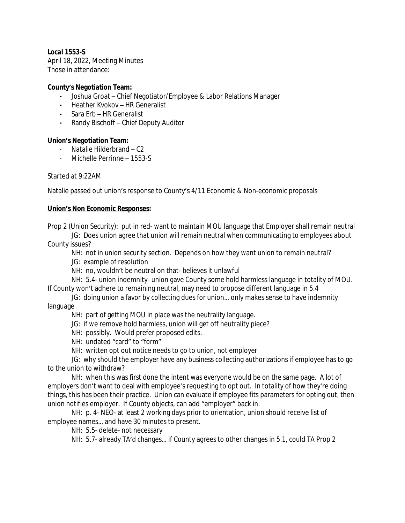# *Local 1553-S*

April 18, 2022, Meeting Minutes Those in attendance:

### **County's Negotiation Team:**

- **-** Joshua Groat Chief Negotiator/Employee & Labor Relations Manager
- **-** Heather Kvokov HR Generalist
- **-** Sara Erb HR Generalist
- **-** Randy Bischoff Chief Deputy Auditor

## **Union's Negotiation Team:**

- Natalie Hilderbrand C2
- Michelle Perrinne 1553-S

## Started at 9:22AM

Natalie passed out union's response to County's 4/11 Economic & Non-economic proposals

## **Union's Non Economic Responses:**

Prop 2 (Union Security): put in red- want to maintain MOU language that Employer shall remain neutral

JG: Does union agree that union will remain neutral when communicating to employees about County issues?

NH: not in union security section. Depends on how they want union to remain neutral?

JG: example of resolution

NH: no, wouldn't be neutral on that- believes it unlawful

NH: 5.4- union indemnity- union gave County some hold harmless language in totality of MOU. If County won't adhere to remaining neutral, may need to propose different language in 5.4

JG: doing union a favor by collecting dues for union… only makes sense to have indemnity language

NH: part of getting MOU in place was the neutrality language.

- JG: if we remove hold harmless, union will get off neutrality piece?
- NH: possibly. Would prefer proposed edits.
- NH: undated "card" to "form"
- NH: written opt out notice needs to go to union, not employer

JG: why should the employer have any business collecting authorizations if employee has to go to the union to withdraw?

NH: when this was first done the intent was everyone would be on the same page. A lot of employers don't want to deal with employee's requesting to opt out. In totality of how they're doing things, this has been their practice. Union can evaluate if employee fits parameters for opting out, then union notifies employer. If County objects, can add "employer" back in.

NH: p. 4- NEO- at least 2 working days prior to orientation, union should receive list of employee names… and have 30 minutes to present.

NH: 5.5- delete- not necessary

NH: 5.7- already TA'd changes… if County agrees to other changes in 5.1, could TA Prop 2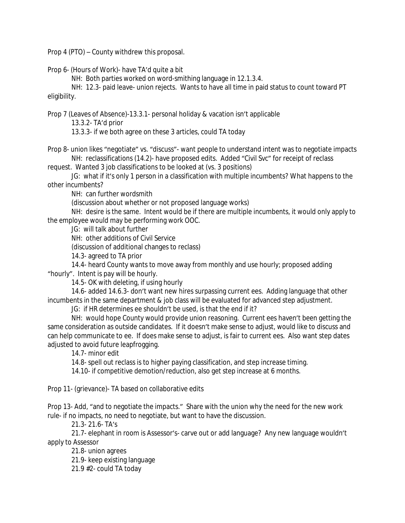Prop 4 (PTO) – County withdrew this proposal.

Prop 6- (Hours of Work)- have TA'd quite a bit

NH: Both parties worked on word-smithing language in 12.1.3.4.

NH: 12.3- paid leave- union rejects. Wants to have all time in paid status to count toward PT eligibility.

Prop 7 (Leaves of Absence)-13.3.1- personal holiday & vacation isn't applicable

13.3.2- TA'd prior

13.3.3- if we both agree on these 3 articles, could TA today

Prop 8- union likes "negotiate" vs. "discuss"- want people to understand intent was to negotiate impacts NH: reclassifications (14.2)- have proposed edits. Added "Civil Svc" for receipt of reclass

request. Wanted 3 job classifications to be looked at (vs. 3 positions)

JG: what if it's only 1 person in a classification with multiple incumbents? What happens to the other incumbents?

NH: can further wordsmith

(discussion about whether or not proposed language works)

NH: desire is the same. Intent would be if there are multiple incumbents, it would only apply to the employee would may be performing work OOC.

JG: will talk about further

NH: other additions of Civil Service

(discussion of additional changes to reclass)

14.3- agreed to TA prior

14.4- heard County wants to move away from monthly and use hourly; proposed adding "hourly". Intent is pay will be hourly.

14.5- OK with deleting, if using hourly

14.6- added 14.6.3- don't want new hires surpassing current ees. Adding language that other incumbents in the same department & job class will be evaluated for advanced step adjustment.

JG: if HR determines ee shouldn't be used, is that the end if it?

NH: would hope County would provide union reasoning. Current ees haven't been getting the same consideration as outside candidates. If it doesn't make sense to adjust, would like to discuss and can help communicate to ee. If does make sense to adjust, is fair to current ees. Also want step dates adjusted to avoid future leapfrogging.

14.7- minor edit

14.8- spell out reclass is to higher paying classification, and step increase timing.

14.10- if competitive demotion/reduction, also get step increase at 6 months.

Prop 11- (grievance)- TA based on collaborative edits

Prop 13- Add, "and to negotiate the impacts." Share with the union why the need for the new work rule- if no impacts, no need to negotiate, but want to have the discussion.

21.3- 21.6- TA's

21.7- elephant in room is Assessor's- carve out or add language? Any new language wouldn't apply to Assessor

21.8- union agrees

21.9- keep existing language

21.9 #2- could TA today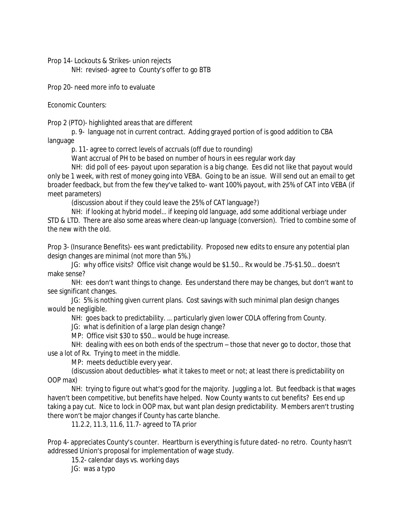Prop 14- Lockouts & Strikes- union rejects NH: revised- agree to County's offer to go BTB

Prop 20- need more info to evaluate

Economic Counters:

Prop 2 (PTO)- highlighted areas that are different

p. 9- language not in current contract. Adding grayed portion of is good addition to CBA language

p. 11- agree to correct levels of accruals (off due to rounding)

Want accrual of PH to be based on number of hours in ees regular work day

NH: did poll of ees- payout upon separation is a big change. Ees did not like that payout would only be 1 week, with rest of money going into VEBA. Going to be an issue. Will send out an email to get broader feedback, but from the few they've talked to- want 100% payout, with 25% of CAT into VEBA (if meet parameters)

(discussion about if they could leave the 25% of CAT language?)

NH: if looking at hybrid model… if keeping old language, add some additional verbiage under STD & LTD. There are also some areas where clean-up language (conversion). Tried to combine some of the new with the old.

Prop 3- (Insurance Benefits)- ees want predictability. Proposed new edits to ensure any potential plan design changes are minimal (not more than 5%.)

JG: why office visits? Office visit change would be \$1.50… Rx would be .75-\$1.50… doesn't make sense?

NH: ees don't want things to change. Ees understand there may be changes, but don't want to see significant changes.

JG: 5% is nothing given current plans. Cost savings with such minimal plan design changes would be negligible.

NH: goes back to predictability. … particularly given lower COLA offering from County.

JG: what is definition of a large plan design change?

MP: Office visit \$30 to \$50… would be huge increase.

NH: dealing with ees on both ends of the spectrum – those that never go to doctor, those that use a lot of Rx. Trying to meet in the middle.

MP: meets deductible every year.

(discussion about deductibles- what it takes to meet or not; at least there is predictability on OOP max)

NH: trying to figure out what's good for the majority. Juggling a lot. But feedback is that wages haven't been competitive, but benefits have helped. Now County wants to cut benefits? Ees end up taking a pay cut. Nice to lock in OOP max, but want plan design predictability. Members aren't trusting there won't be major changes if County has carte blanche.

11.2.2, 11.3, 11.6, 11.7- agreed to TA prior

Prop 4- appreciates County's counter. Heartburn is everything is future dated- no retro. County hasn't addressed Union's proposal for implementation of wage study.

15.2- calendar days vs. working days

JG: was a typo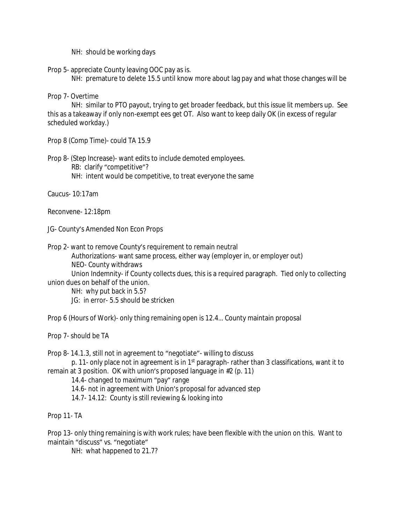NH: should be working days

Prop 5- appreciate County leaving OOC pay as is.

NH: premature to delete 15.5 until know more about lag pay and what those changes will be

Prop 7- Overtime

NH: similar to PTO payout, trying to get broader feedback, but this issue lit members up. See this as a takeaway if only non-exempt ees get OT. Also want to keep daily OK (in excess of regular scheduled workday.)

Prop 8 (Comp Time)- could TA 15.9

Prop 8- (Step Increase)- want edits to include demoted employees. RB: clarify "competitive"?

NH: intent would be competitive, to treat everyone the same

Caucus- 10:17am

Reconvene- 12:18pm

JG- County's Amended Non Econ Props

Prop 2- want to remove County's requirement to remain neutral

Authorizations- want same process, either way (employer in, or employer out)

NEO- County withdraws

Union Indemnity- if County collects dues, this is a required paragraph. Tied only to collecting union dues on behalf of the union.

NH: why put back in 5.5?

JG: in error- 5.5 should be stricken

Prop 6 (Hours of Work)- only thing remaining open is 12.4… County maintain proposal

Prop 7- should be TA

Prop 8- 14.1.3, still not in agreement to "negotiate"- willing to discuss

p. 11- only place not in agreement is in 1<sup>st</sup> paragraph- rather than 3 classifications, want it to remain at 3 position. OK with union's proposed language in #2 (p. 11)

14.4- changed to maximum "pay" range

14.6- not in agreement with Union's proposal for advanced step

14.7- 14.12: County is still reviewing & looking into

Prop 11- TA

Prop 13- only thing remaining is with work rules; have been flexible with the union on this. Want to maintain "discuss" vs. "negotiate"

NH: what happened to 21.7?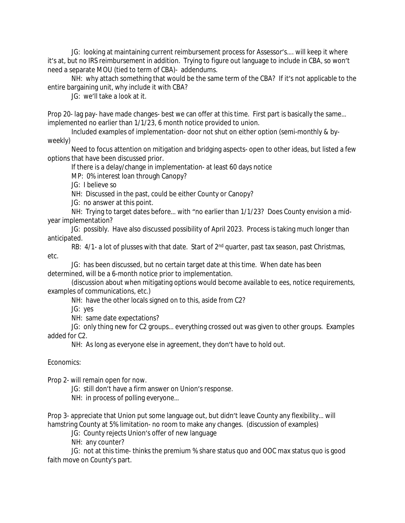JG: looking at maintaining current reimbursement process for Assessor's…. will keep it where it's at, but no IRS reimbursement in addition. Trying to figure out language to include in CBA, so won't need a separate MOU (tied to term of CBA)- addendums.

NH: why attach something that would be the same term of the CBA? If it's not applicable to the entire bargaining unit, why include it with CBA?

JG: we'll take a look at it.

Prop 20- lag pay- have made changes- best we can offer at this time. First part is basically the same… implemented no earlier than 1/1/23, 6 month notice provided to union.

Included examples of implementation- door not shut on either option (semi-monthly & byweekly)

Need to focus attention on mitigation and bridging aspects- open to other ideas, but listed a few options that have been discussed prior.

If there is a delay/change in implementation- at least 60 days notice

MP: 0% interest loan through Canopy?

JG: I believe so

NH: Discussed in the past, could be either County or Canopy?

JG: no answer at this point.

NH: Trying to target dates before… with "no earlier than 1/1/23? Does County envision a midyear implementation?

JG: possibly. Have also discussed possibility of April 2023. Process is taking much longer than anticipated.

RB: 4/1- a lot of plusses with that date. Start of 2<sup>nd</sup> quarter, past tax season, past Christmas, etc.

JG: has been discussed, but no certain target date at this time. When date has been determined, will be a 6-month notice prior to implementation.

(discussion about when mitigating options would become available to ees, notice requirements, examples of communications, etc.)

NH: have the other locals signed on to this, aside from C2?

JG: yes

NH: same date expectations?

JG: only thing new for C2 groups… everything crossed out was given to other groups. Examples added for C2.

NH: As long as everyone else in agreement, they don't have to hold out.

## Economics:

Prop 2- will remain open for now.

JG: still don't have a firm answer on Union's response.

NH: in process of polling everyone…

Prop 3- appreciate that Union put some language out, but didn't leave County any flexibility… will hamstring County at 5% limitation- no room to make any changes. (discussion of examples)

JG: County rejects Union's offer of new language

NH: any counter?

JG: not at this time- thinks the premium % share status quo and OOC max status quo is good faith move on County's part.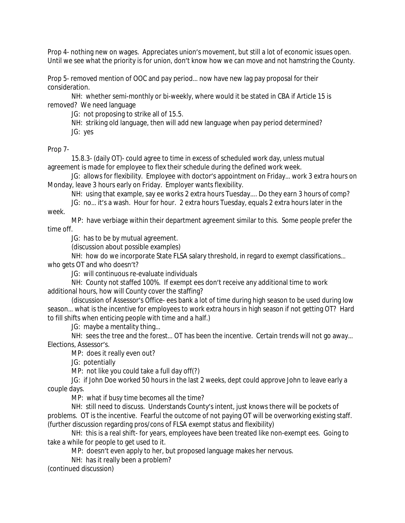Prop 4- nothing new on wages. Appreciates union's movement, but still a lot of economic issues open. Until we see what the priority is for union, don't know how we can move and not hamstring the County.

Prop 5- removed mention of OOC and pay period… now have new lag pay proposal for their consideration.

NH: whether semi-monthly or bi-weekly, where would it be stated in CBA if Article 15 is removed? We need language

JG: not proposing to strike all of 15.5.

NH: striking old language, then will add new language when pay period determined? JG: yes

Prop 7-

15.8.3- (daily OT)- could agree to time in excess of scheduled work day, unless mutual agreement is made for employee to flex their schedule during the defined work week.

JG: allows for flexibility. Employee with doctor's appointment on Friday… work 3 extra hours on Monday, leave 3 hours early on Friday. Employer wants flexibility.

NH: using that example, say ee works 2 extra hours Tuesday…. Do they earn 3 hours of comp?

JG: no... it's a wash. Hour for hour. 2 extra hours Tuesday, equals 2 extra hours later in the week.

MP: have verbiage within their department agreement similar to this. Some people prefer the time off.

JG: has to be by mutual agreement.

(discussion about possible examples)

NH: how do we incorporate State FLSA salary threshold, in regard to exempt classifications… who gets OT and who doesn't?

JG: will continuous re-evaluate individuals

NH: County not staffed 100%. If exempt ees don't receive any additional time to work additional hours, how will County cover the staffing?

(discussion of Assessor's Office- ees bank a lot of time during high season to be used during low season… what is the incentive for employees to work extra hours in high season if not getting OT? Hard to fill shifts when enticing people with time and a half.)

JG: maybe a mentality thing…

NH: sees the tree and the forest… OT has been the incentive. Certain trends will not go away… Elections, Assessor's.

MP: does it really even out?

JG: potentially

MP: not like you could take a full day off(?)

JG: if John Doe worked 50 hours in the last 2 weeks, dept could approve John to leave early a couple days.

MP: what if busy time becomes all the time?

NH: still need to discuss. Understands County's intent, just knows there will be pockets of problems. OT is the incentive. Fearful the outcome of not paying OT will be overworking existing staff. (further discussion regarding pros/cons of FLSA exempt status and flexibility)

NH: this is a real shift- for years, employees have been treated like non-exempt ees. Going to take a while for people to get used to it.

MP: doesn't even apply to her, but proposed language makes her nervous.

NH: has it really been a problem?

(continued discussion)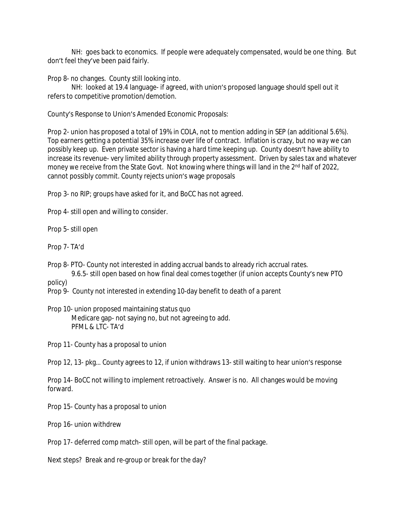NH: goes back to economics. If people were adequately compensated, would be one thing. But don't feel they've been paid fairly.

Prop 8- no changes. County still looking into.

NH: looked at 19.4 language- if agreed, with union's proposed language should spell out it refers to competitive promotion/demotion.

County's Response to Union's Amended Economic Proposals:

Prop 2- union has proposed a total of 19% in COLA, not to mention adding in SEP (an additional 5.6%). Top earners getting a potential 35% increase over life of contract. Inflation is crazy, but no way we can possibly keep up. Even private sector is having a hard time keeping up. County doesn't have ability to increase its revenue- very limited ability through property assessment. Driven by sales tax and whatever money we receive from the State Govt. Not knowing where things will land in the 2<sup>nd</sup> half of 2022, cannot possibly commit. County rejects union's wage proposals

Prop 3- no RIP; groups have asked for it, and BoCC has not agreed.

Prop 4- still open and willing to consider.

Prop 5- still open

Prop 7- TA'd

Prop 8- PTO- County not interested in adding accrual bands to already rich accrual rates. 9.6.5- still open based on how final deal comes together (if union accepts County's new PTO

policy)

Prop 9- County not interested in extending 10-day benefit to death of a parent

Prop 10- union proposed maintaining status quo Medicare gap- not saying no, but not agreeing to add. PFML & LTC- TA'd

Prop 11- County has a proposal to union

Prop 12, 13- pkg… County agrees to 12, if union withdraws 13- still waiting to hear union's response

Prop 14- BoCC not willing to implement retroactively. Answer is no. All changes would be moving forward.

Prop 15- County has a proposal to union

Prop 16- union withdrew

Prop 17- deferred comp match- still open, will be part of the final package.

Next steps? Break and re-group or break for the day?